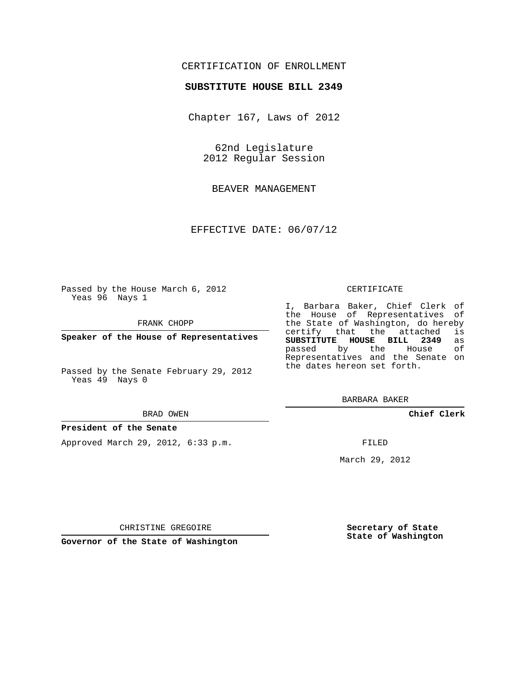## CERTIFICATION OF ENROLLMENT

### **SUBSTITUTE HOUSE BILL 2349**

Chapter 167, Laws of 2012

62nd Legislature 2012 Regular Session

BEAVER MANAGEMENT

EFFECTIVE DATE: 06/07/12

Passed by the House March 6, 2012 Yeas 96 Nays 1

FRANK CHOPP

**Speaker of the House of Representatives**

Passed by the Senate February 29, 2012 Yeas 49 Nays 0

#### BRAD OWEN

### **President of the Senate**

Approved March 29, 2012, 6:33 p.m.

#### CERTIFICATE

I, Barbara Baker, Chief Clerk of the House of Representatives of the State of Washington, do hereby<br>certify that the attached is certify that the attached **SUBSTITUTE HOUSE BILL 2349** as passed by the Representatives and the Senate on the dates hereon set forth.

BARBARA BAKER

**Chief Clerk**

FILED

March 29, 2012

**Secretary of State State of Washington**

CHRISTINE GREGOIRE

**Governor of the State of Washington**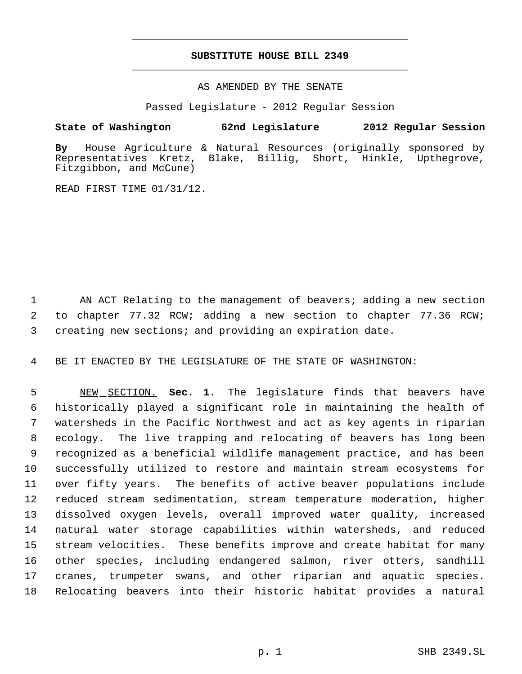# **SUBSTITUTE HOUSE BILL 2349** \_\_\_\_\_\_\_\_\_\_\_\_\_\_\_\_\_\_\_\_\_\_\_\_\_\_\_\_\_\_\_\_\_\_\_\_\_\_\_\_\_\_\_\_\_

\_\_\_\_\_\_\_\_\_\_\_\_\_\_\_\_\_\_\_\_\_\_\_\_\_\_\_\_\_\_\_\_\_\_\_\_\_\_\_\_\_\_\_\_\_

### AS AMENDED BY THE SENATE

Passed Legislature - 2012 Regular Session

## **State of Washington 62nd Legislature 2012 Regular Session**

**By** House Agriculture & Natural Resources (originally sponsored by Representatives Kretz, Blake, Billig, Short, Hinkle, Upthegrove, Fitzgibbon, and McCune)

READ FIRST TIME 01/31/12.

1 AN ACT Relating to the management of beavers; adding a new section 2 to chapter 77.32 RCW; adding a new section to chapter 77.36 RCW; 3 creating new sections; and providing an expiration date.

4 BE IT ENACTED BY THE LEGISLATURE OF THE STATE OF WASHINGTON:

 NEW SECTION. **Sec. 1.** The legislature finds that beavers have historically played a significant role in maintaining the health of watersheds in the Pacific Northwest and act as key agents in riparian ecology. The live trapping and relocating of beavers has long been recognized as a beneficial wildlife management practice, and has been successfully utilized to restore and maintain stream ecosystems for over fifty years. The benefits of active beaver populations include reduced stream sedimentation, stream temperature moderation, higher dissolved oxygen levels, overall improved water quality, increased natural water storage capabilities within watersheds, and reduced stream velocities. These benefits improve and create habitat for many other species, including endangered salmon, river otters, sandhill cranes, trumpeter swans, and other riparian and aquatic species. Relocating beavers into their historic habitat provides a natural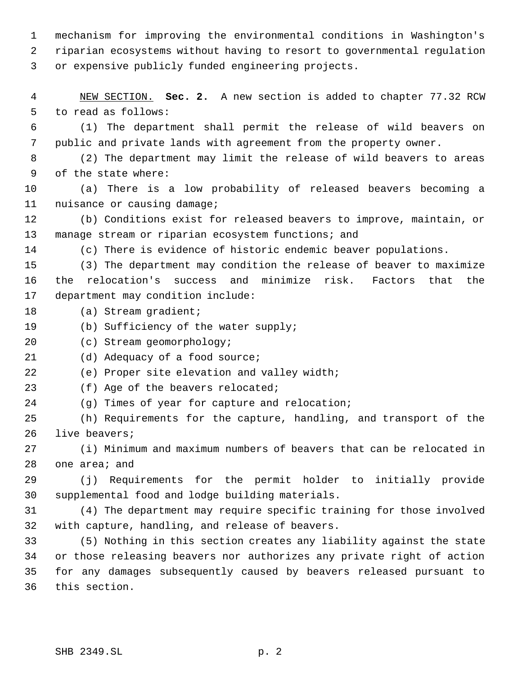mechanism for improving the environmental conditions in Washington's riparian ecosystems without having to resort to governmental regulation or expensive publicly funded engineering projects.

 NEW SECTION. **Sec. 2.** A new section is added to chapter 77.32 RCW to read as follows:

 (1) The department shall permit the release of wild beavers on public and private lands with agreement from the property owner.

 (2) The department may limit the release of wild beavers to areas of the state where:

 (a) There is a low probability of released beavers becoming a nuisance or causing damage;

 (b) Conditions exist for released beavers to improve, maintain, or manage stream or riparian ecosystem functions; and

(c) There is evidence of historic endemic beaver populations.

 (3) The department may condition the release of beaver to maximize the relocation's success and minimize risk. Factors that the department may condition include:

- 18 (a) Stream gradient;
- (b) Sufficiency of the water supply;

(c) Stream geomorphology;

21 (d) Adequacy of a food source;

(e) Proper site elevation and valley width;

23 (f) Age of the beavers relocated;

(g) Times of year for capture and relocation;

 (h) Requirements for the capture, handling, and transport of the live beavers;

 (i) Minimum and maximum numbers of beavers that can be relocated in one area; and

 (j) Requirements for the permit holder to initially provide supplemental food and lodge building materials.

 (4) The department may require specific training for those involved with capture, handling, and release of beavers.

 (5) Nothing in this section creates any liability against the state or those releasing beavers nor authorizes any private right of action for any damages subsequently caused by beavers released pursuant to this section.